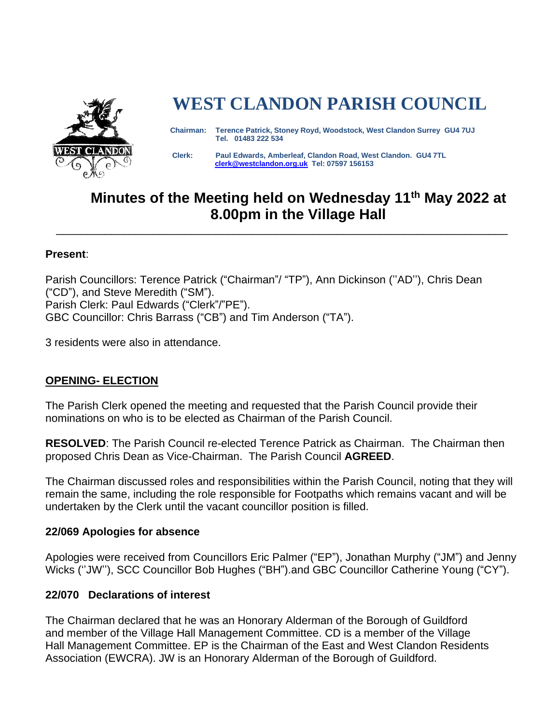

# **WEST CLANDON PARISH COUNCIL**

 **Chairman: Terence Patrick, Stoney Royd, Woodstock, West Clandon Surrey GU4 7UJ Tel. 01483 222 534** 

 **Clerk: Paul Edwards, Amberleaf, Clandon Road, West Clandon. GU4 7TL [clerk@westclandon.org.uk](mailto:clerk@westclandon.org.uk) Tel: 07597 156153**

## **Minutes of the Meeting held on Wednesday 11th May 2022 at 8.00pm in the Village Hall**

\_\_\_\_\_\_\_\_\_\_\_\_\_\_\_\_\_\_\_\_\_\_\_\_\_\_\_\_\_\_\_\_\_\_\_\_\_\_\_\_\_\_\_\_\_\_\_\_\_\_\_\_\_\_\_\_\_\_\_\_\_\_\_\_\_\_\_\_\_\_\_\_\_\_

#### **Present**:

Parish Councillors: Terence Patrick ("Chairman"/ "TP"), Ann Dickinson (''AD''), Chris Dean ("CD"), and Steve Meredith ("SM"). Parish Clerk: Paul Edwards ("Clerk"/"PE"). GBC Councillor: Chris Barrass ("CB") and Tim Anderson ("TA").

3 residents were also in attendance.

## **OPENING- ELECTION**

The Parish Clerk opened the meeting and requested that the Parish Council provide their nominations on who is to be elected as Chairman of the Parish Council.

**RESOLVED**: The Parish Council re-elected Terence Patrick as Chairman. The Chairman then proposed Chris Dean as Vice-Chairman. The Parish Council **AGREED**.

The Chairman discussed roles and responsibilities within the Parish Council, noting that they will remain the same, including the role responsible for Footpaths which remains vacant and will be undertaken by the Clerk until the vacant councillor position is filled.

## **22/069 Apologies for absence**

Apologies were received from Councillors Eric Palmer ("EP"), Jonathan Murphy ("JM") and Jenny Wicks (''JW''), SCC Councillor Bob Hughes ("BH").and GBC Councillor Catherine Young ("CY").

## **22/070 Declarations of interest**

The Chairman declared that he was an Honorary Alderman of the Borough of Guildford and member of the Village Hall Management Committee. CD is a member of the Village Hall Management Committee. EP is the Chairman of the East and West Clandon Residents Association (EWCRA). JW is an Honorary Alderman of the Borough of Guildford.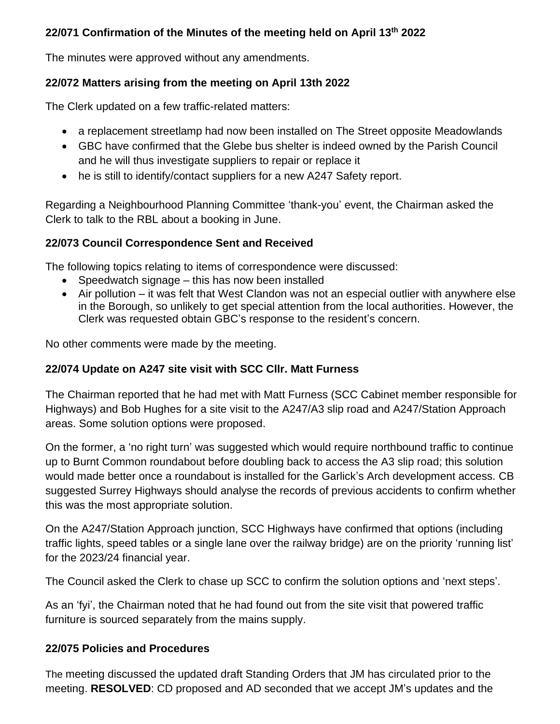## **22/071 Confirmation of the Minutes of the meeting held on April 13th 2022**

The minutes were approved without any amendments.

## **22/072 Matters arising from the meeting on April 13th 2022**

The Clerk updated on a few traffic-related matters:

- a replacement streetlamp had now been installed on The Street opposite Meadowlands
- GBC have confirmed that the Glebe bus shelter is indeed owned by the Parish Council and he will thus investigate suppliers to repair or replace it
- he is still to identify/contact suppliers for a new A247 Safety report.

Regarding a Neighbourhood Planning Committee 'thank-you' event, the Chairman asked the Clerk to talk to the RBL about a booking in June.

## **22/073 Council Correspondence Sent and Received**

The following topics relating to items of correspondence were discussed:

- Speedwatch signage this has now been installed
- Air pollution it was felt that West Clandon was not an especial outlier with anywhere else in the Borough, so unlikely to get special attention from the local authorities. However, the Clerk was requested obtain GBC's response to the resident's concern.

No other comments were made by the meeting.

## **22/074 Update on A247 site visit with SCC Cllr. Matt Furness**

The Chairman reported that he had met with Matt Furness (SCC Cabinet member responsible for Highways) and Bob Hughes for a site visit to the A247/A3 slip road and A247/Station Approach areas. Some solution options were proposed.

On the former, a 'no right turn' was suggested which would require northbound traffic to continue up to Burnt Common roundabout before doubling back to access the A3 slip road; this solution would made better once a roundabout is installed for the Garlick's Arch development access. CB suggested Surrey Highways should analyse the records of previous accidents to confirm whether this was the most appropriate solution.

On the A247/Station Approach junction, SCC Highways have confirmed that options (including traffic lights, speed tables or a single lane over the railway bridge) are on the priority 'running list' for the 2023/24 financial year.

The Council asked the Clerk to chase up SCC to confirm the solution options and 'next steps'.

As an 'fyi', the Chairman noted that he had found out from the site visit that powered traffic furniture is sourced separately from the mains supply.

## **22/075 Policies and Procedures**

The meeting discussed the updated draft Standing Orders that JM has circulated prior to the meeting. **RESOLVED**: CD proposed and AD seconded that we accept JM's updates and the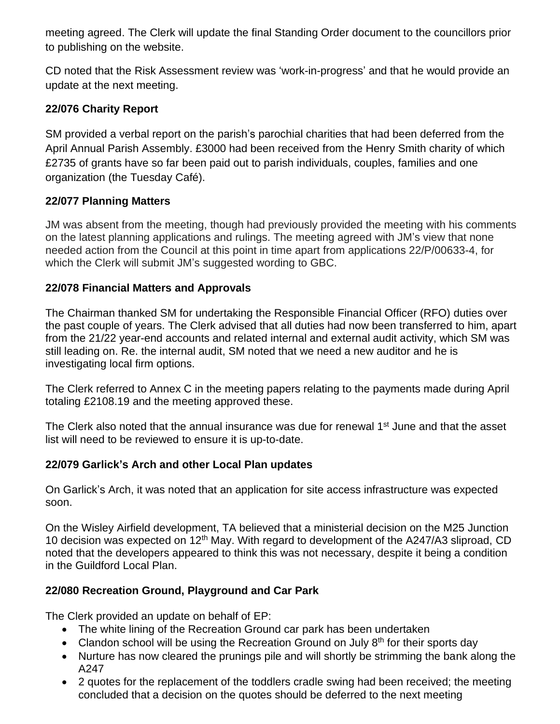meeting agreed. The Clerk will update the final Standing Order document to the councillors prior to publishing on the website.

CD noted that the Risk Assessment review was 'work-in-progress' and that he would provide an update at the next meeting.

## **22/076 Charity Report**

SM provided a verbal report on the parish's parochial charities that had been deferred from the April Annual Parish Assembly. £3000 had been received from the Henry Smith charity of which £2735 of grants have so far been paid out to parish individuals, couples, families and one organization (the Tuesday Café).

## **22/077 Planning Matters**

JM was absent from the meeting, though had previously provided the meeting with his comments on the latest planning applications and rulings. The meeting agreed with JM's view that none needed action from the Council at this point in time apart from applications 22/P/00633-4, for which the Clerk will submit JM's suggested wording to GBC.

## **22/078 Financial Matters and Approvals**

The Chairman thanked SM for undertaking the Responsible Financial Officer (RFO) duties over the past couple of years. The Clerk advised that all duties had now been transferred to him, apart from the 21/22 year-end accounts and related internal and external audit activity, which SM was still leading on. Re. the internal audit, SM noted that we need a new auditor and he is investigating local firm options.

The Clerk referred to Annex C in the meeting papers relating to the payments made during April totaling £2108.19 and the meeting approved these.

The Clerk also noted that the annual insurance was due for renewal 1<sup>st</sup> June and that the asset list will need to be reviewed to ensure it is up-to-date.

## **22/079 Garlick's Arch and other Local Plan updates**

On Garlick's Arch, it was noted that an application for site access infrastructure was expected soon.

On the Wisley Airfield development, TA believed that a ministerial decision on the M25 Junction 10 decision was expected on 12<sup>th</sup> May. With regard to development of the A247/A3 sliproad, CD noted that the developers appeared to think this was not necessary, despite it being a condition in the Guildford Local Plan.

## **22/080 Recreation Ground, Playground and Car Park**

The Clerk provided an update on behalf of EP:

- The white lining of the Recreation Ground car park has been undertaken
- Clandon school will be using the Recreation Ground on July  $8<sup>th</sup>$  for their sports day
- Nurture has now cleared the prunings pile and will shortly be strimming the bank along the A247
- 2 quotes for the replacement of the toddlers cradle swing had been received; the meeting concluded that a decision on the quotes should be deferred to the next meeting